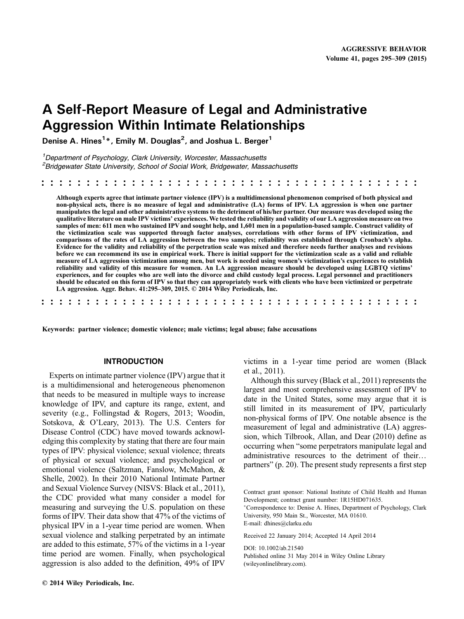# A Self‐Report Measure of Legal and Administrative Aggression Within Intimate Relationships

Denise A. Hines $^{1\ast}$ , Emily M. Douglas $^2$ , and Joshua L. Berger $^1$ 

<sup>1</sup>Department of Psychology, Clark University, Worcester, Massachusetts <sup>2</sup> Bridgewater State University, School of Social Work, Bridgewater, Massachusetts

Although experts agree that intimate partner violence (IPV) is a multidimensional phenomenon comprised of both physical and non‐physical acts, there is no measure of legal and administrative (LA) forms of IPV. LA aggression is when one partner manipulates the legal and other administrative systems to the detriment of his/her partner. Our measure was developed using the qualitative literature on male IPV victims' experiences. We tested the reliability and validity of our LA aggression measure on two samples of men: 611 men who sustained IPV and sought help, and 1,601 men in a population-based sample. Construct validity of the victimization scale was supported through factor analyses, correlations with other forms of IPV victimization, and comparisons of the rates of LA aggression between the two samples; reliability was established through Cronbach's alpha. Evidence for the validity and reliability of the perpetration scale was mixed and therefore needs further analyses and revisions before we can recommend its use in empirical work. There is initial support for the victimization scale as a valid and reliable measure of LA aggression victimization among men, but work is needed using women's victimization's experiences to establish reliability and validity of this measure for women. An LA aggression measure should be developed using LGBTQ victims' experiences, and for couples who are well into the divorce and child custody legal process. Legal personnel and practitioners should be educated on this form of IPV so that they can appropriately work with clients who have been victimized or perpetrate LA aggression. Aggr. Behav. 41:295–309, 2015. © 2014 Wiley Periodicals, Inc.

.......................................... ..........................................

Keywords: partner violence; domestic violence; male victims; legal abuse; false accusations

#### INTRODUCTION

Experts on intimate partner violence (IPV) argue that it is a multidimensional and heterogeneous phenomenon that needs to be measured in multiple ways to increase knowledge of IPV, and capture its range, extent, and severity (e.g., Follingstad & Rogers, 2013; Woodin, Sotskova, & O'Leary, 2013). The U.S. Centers for Disease Control (CDC) have moved towards acknowledging this complexity by stating that there are four main types of IPV: physical violence; sexual violence; threats of physical or sexual violence; and psychological or emotional violence (Saltzman, Fanslow, McMahon, & Shelle, 2002). In their 2010 National Intimate Partner and Sexual Violence Survey (NISVS: Black et al., 2011), the CDC provided what many consider a model for measuring and surveying the U.S. population on these forms of IPV. Their data show that 47% of the victims of physical IPV in a 1‐year time period are women. When sexual violence and stalking perpetrated by an intimate are added to this estimate, 57% of the victims in a 1‐year time period are women. Finally, when psychological aggression is also added to the definition, 49% of IPV

victims in a 1‐year time period are women (Black et al., 2011).

Although this survey (Black et al., 2011) represents the largest and most comprehensive assessment of IPV to date in the United States, some may argue that it is still limited in its measurement of IPV, particularly non‐physical forms of IPV. One notable absence is the measurement of legal and administrative (LA) aggression, which Tilbrook, Allan, and Dear (2010) define as occurring when "some perpetrators manipulate legal and administrative resources to the detriment of their… partners" (p. 20). The present study represents a first step

Contract grant sponsor: National Institute of Child Health and Human Development; contract grant number: 1R15HD071635.

Correspondence to: Denise A. Hines, Department of Psychology, Clark University, 950 Main St., Worcester, MA 01610.

E‐mail: dhines@clarku.edu

Received 22 January 2014; Accepted 14 April 2014

DOI: 10.1002/ab.21540

Published online 31 May 2014 in Wiley Online Library (wileyonlinelibrary.com).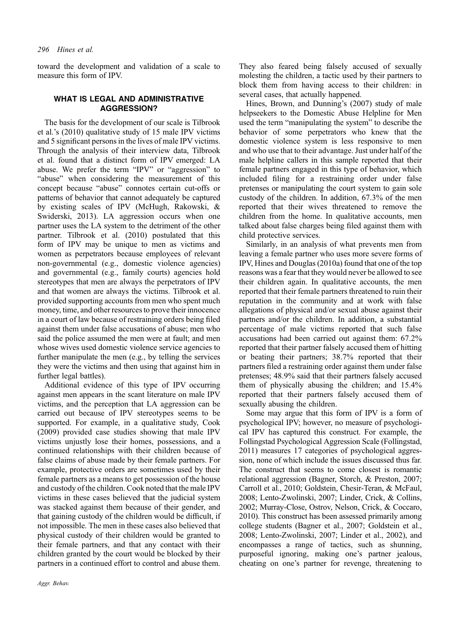toward the development and validation of a scale to measure this form of IPV.

## WHAT IS LEGAL AND ADMINISTRATIVE AGGRESSION?

The basis for the development of our scale is Tilbrook et al.'s (2010) qualitative study of 15 male IPV victims and 5 significant persons in the lives of male IPV victims. Through the analysis of their interview data, Tilbrook et al. found that a distinct form of IPV emerged: LA abuse. We prefer the term "IPV" or "aggression" to "abuse" when considering the measurement of this concept because "abuse" connotes certain cut‐offs or patterns of behavior that cannot adequately be captured by existing scales of IPV (McHugh, Rakowski, & Swiderski, 2013). LA aggression occurs when one partner uses the LA system to the detriment of the other partner. Tilbrook et al. (2010) postulated that this form of IPV may be unique to men as victims and women as perpetrators because employees of relevant non‐governmental (e.g., domestic violence agencies) and governmental (e.g., family courts) agencies hold stereotypes that men are always the perpetrators of IPV and that women are always the victims. Tilbrook et al. provided supporting accounts from men who spent much money, time, and other resources to prove their innocence in a court of law because of restraining orders being filed against them under false accusations of abuse; men who said the police assumed the men were at fault; and men whose wives used domestic violence service agencies to further manipulate the men (e.g., by telling the services they were the victims and then using that against him in further legal battles).

Additional evidence of this type of IPV occurring against men appears in the scant literature on male IPV victims, and the perception that LA aggression can be carried out because of IPV stereotypes seems to be supported. For example, in a qualitative study, Cook (2009) provided case studies showing that male IPV victims unjustly lose their homes, possessions, and a continued relationships with their children because of false claims of abuse made by their female partners. For example, protective orders are sometimes used by their female partners as a means to get possession of the house and custody of the children. Cook noted that the male IPV victims in these cases believed that the judicial system was stacked against them because of their gender, and that gaining custody of the children would be difficult, if not impossible. The men in these cases also believed that physical custody of their children would be granted to their female partners, and that any contact with their children granted by the court would be blocked by their partners in a continued effort to control and abuse them.

Aggr. Behav.

They also feared being falsely accused of sexually molesting the children, a tactic used by their partners to block them from having access to their children: in several cases, that actually happened.

Hines, Brown, and Dunning's (2007) study of male helpseekers to the Domestic Abuse Helpline for Men used the term "manipulating the system" to describe the behavior of some perpetrators who knew that the domestic violence system is less responsive to men and who use that to their advantage. Just under half of the male helpline callers in this sample reported that their female partners engaged in this type of behavior, which included filing for a restraining order under false pretenses or manipulating the court system to gain sole custody of the children. In addition, 67.3% of the men reported that their wives threatened to remove the children from the home. In qualitative accounts, men talked about false charges being filed against them with child protective services.

Similarly, in an analysis of what prevents men from leaving a female partner who uses more severe forms of IPV, Hines and Douglas (2010a) found that one of the top reasons was a fear that they would never be allowed to see their children again. In qualitative accounts, the men reported that their female partners threatened to ruin their reputation in the community and at work with false allegations of physical and/or sexual abuse against their partners and/or the children. In addition, a substantial percentage of male victims reported that such false accusations had been carried out against them: 67.2% reported that their partner falsely accused them of hitting or beating their partners; 38.7% reported that their partners filed a restraining order against them under false pretenses; 48.9% said that their partners falsely accused them of physically abusing the children; and 15.4% reported that their partners falsely accused them of sexually abusing the children.

Some may argue that this form of IPV is a form of psychological IPV; however, no measure of psychological IPV has captured this construct. For example, the Follingstad Psychological Aggression Scale (Follingstad, 2011) measures 17 categories of psychological aggression, none of which include the issues discussed thus far. The construct that seems to come closest is romantic relational aggression (Bagner, Storch, & Preston, 2007; Carroll et al., 2010; Goldstein, Chesir‐Teran, & McFaul, 2008; Lento‐Zwolinski, 2007; Linder, Crick, & Collins, 2002; Murray‐Close, Ostrov, Nelson, Crick, & Coccaro, 2010). This construct has been assessed primarily among college students (Bagner et al., 2007; Goldstein et al., 2008; Lento‐Zwolinski, 2007; Linder et al., 2002), and encompasses a range of tactics, such as shunning, purposeful ignoring, making one's partner jealous, cheating on one's partner for revenge, threatening to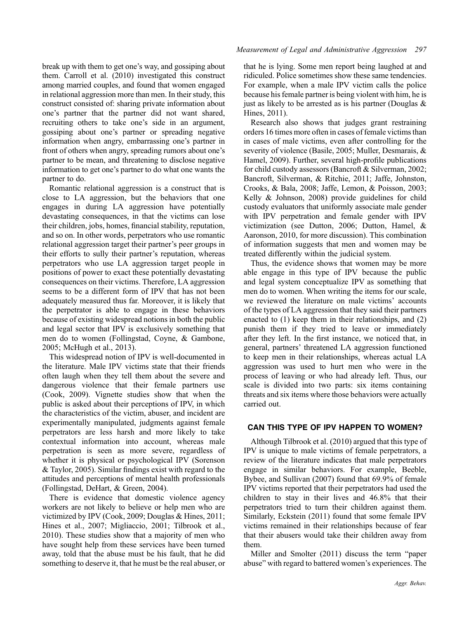break up with them to get one's way, and gossiping about them. Carroll et al. (2010) investigated this construct among married couples, and found that women engaged in relational aggression more than men. In their study, this construct consisted of: sharing private information about one's partner that the partner did not want shared, recruiting others to take one's side in an argument, gossiping about one's partner or spreading negative information when angry, embarrassing one's partner in front of others when angry, spreading rumors about one's partner to be mean, and threatening to disclose negative information to get one's partner to do what one wants the partner to do.

Romantic relational aggression is a construct that is close to LA aggression, but the behaviors that one engages in during LA aggression have potentially devastating consequences, in that the victims can lose their children, jobs, homes, financial stability, reputation, and so on. In other words, perpetrators who use romantic relational aggression target their partner's peer groups in their efforts to sully their partner's reputation, whereas perpetrators who use LA aggression target people in positions of power to exact these potentially devastating consequences on their victims. Therefore, LA aggression seems to be a different form of IPV that has not been adequately measured thus far. Moreover, it is likely that the perpetrator is able to engage in these behaviors because of existing widespread notions in both the public and legal sector that IPV is exclusively something that men do to women (Follingstad, Coyne, & Gambone, 2005; McHugh et al., 2013).

This widespread notion of IPV is well‐documented in the literature. Male IPV victims state that their friends often laugh when they tell them about the severe and dangerous violence that their female partners use (Cook, 2009). Vignette studies show that when the public is asked about their perceptions of IPV, in which the characteristics of the victim, abuser, and incident are experimentally manipulated, judgments against female perpetrators are less harsh and more likely to take contextual information into account, whereas male perpetration is seen as more severe, regardless of whether it is physical or psychological IPV (Sorenson & Taylor, 2005). Similar findings exist with regard to the attitudes and perceptions of mental health professionals (Follingstad, DeHart, & Green, 2004).

There is evidence that domestic violence agency workers are not likely to believe or help men who are victimized by IPV (Cook, 2009; Douglas & Hines, 2011; Hines et al., 2007; Migliaccio, 2001; Tilbrook et al., 2010). These studies show that a majority of men who have sought help from these services have been turned away, told that the abuse must be his fault, that he did something to deserve it, that he must be the real abuser, or

that he is lying. Some men report being laughed at and ridiculed. Police sometimes show these same tendencies. For example, when a male IPV victim calls the police because his female partner is being violent with him, he is just as likely to be arrested as is his partner (Douglas  $\&$ Hines, 2011).

Research also shows that judges grant restraining orders 16 times more often in cases of female victims than in cases of male victims, even after controlling for the severity of violence (Basile, 2005; Muller, Desmarais, & Hamel, 2009). Further, several high‐profile publications for child custody assessors (Bancroft & Silverman, 2002; Bancroft, Silverman, & Ritchie, 2011; Jaffe, Johnston, Crooks, & Bala, 2008; Jaffe, Lemon, & Poisson, 2003; Kelly & Johnson, 2008) provide guidelines for child custody evaluators that uniformly associate male gender with IPV perpetration and female gender with IPV victimization (see Dutton, 2006; Dutton, Hamel, & Aaronson, 2010, for more discussion). This combination of information suggests that men and women may be treated differently within the judicial system.

Thus, the evidence shows that women may be more able engage in this type of IPV because the public and legal system conceptualize IPV as something that men do to women. When writing the items for our scale, we reviewed the literature on male victims' accounts of the types of LA aggression that they said their partners enacted to (1) keep them in their relationships, and (2) punish them if they tried to leave or immediately after they left. In the first instance, we noticed that, in general, partners' threatened LA aggression functioned to keep men in their relationships, whereas actual LA aggression was used to hurt men who were in the process of leaving or who had already left. Thus, our scale is divided into two parts: six items containing threats and six items where those behaviors were actually carried out.

# CAN THIS TYPE OF IPV HAPPEN TO WOMEN?

Although Tilbrook et al. (2010) argued that this type of IPV is unique to male victims of female perpetrators, a review of the literature indicates that male perpetrators engage in similar behaviors. For example, Beeble, Bybee, and Sullivan (2007) found that 69.9% of female IPV victims reported that their perpetrators had used the children to stay in their lives and 46.8% that their perpetrators tried to turn their children against them. Similarly, Eckstein (2011) found that some female IPV victims remained in their relationships because of fear that their abusers would take their children away from them.

Miller and Smolter (2011) discuss the term "paper abuse" with regard to battered women's experiences. The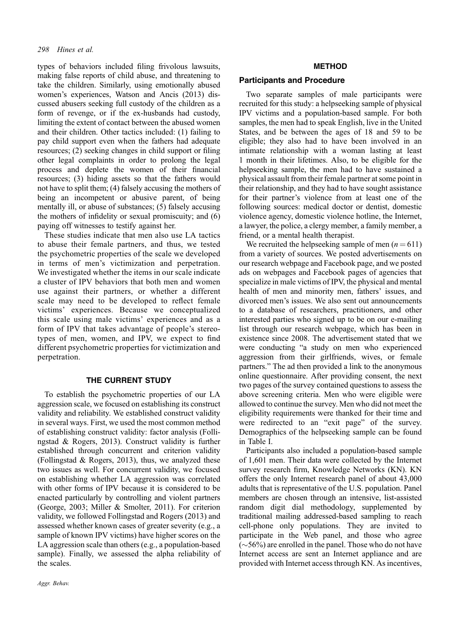types of behaviors included filing frivolous lawsuits, making false reports of child abuse, and threatening to take the children. Similarly, using emotionally abused women's experiences, Watson and Ancis (2013) discussed abusers seeking full custody of the children as a form of revenge, or if the ex-husbands had custody, limiting the extent of contact between the abused women and their children. Other tactics included: (1) failing to pay child support even when the fathers had adequate resources; (2) seeking changes in child support or filing other legal complaints in order to prolong the legal process and deplete the women of their financial resources; (3) hiding assets so that the fathers would not have to split them; (4) falsely accusing the mothers of being an incompetent or abusive parent, of being mentally ill, or abuse of substances; (5) falsely accusing the mothers of infidelity or sexual promiscuity; and (6) paying off witnesses to testify against her.

These studies indicate that men also use LA tactics to abuse their female partners, and thus, we tested the psychometric properties of the scale we developed in terms of men's victimization and perpetration. We investigated whether the items in our scale indicate a cluster of IPV behaviors that both men and women use against their partners, or whether a different scale may need to be developed to reflect female victims' experiences. Because we conceptualized this scale using male victims' experiences and as a form of IPV that takes advantage of people's stereotypes of men, women, and IPV, we expect to find different psychometric properties for victimization and perpetration.

#### THE CURRENT STUDY

To establish the psychometric properties of our LA aggression scale, we focused on establishing its construct validity and reliability. We established construct validity in several ways. First, we used the most common method of establishing construct validity: factor analysis (Follingstad & Rogers, 2013). Construct validity is further established through concurrent and criterion validity (Follingstad  $& Rogers, 2013$ ), thus, we analyzed these two issues as well. For concurrent validity, we focused on establishing whether LA aggression was correlated with other forms of IPV because it is considered to be enacted particularly by controlling and violent partners (George, 2003; Miller & Smolter, 2011). For criterion validity, we followed Follingstad and Rogers (2013) and assessed whether known cases of greater severity (e.g., a sample of known IPV victims) have higher scores on the LA aggression scale than others (e.g., a population‐based sample). Finally, we assessed the alpha reliability of the scales.

#### METHOD

### Participants and Procedure

Two separate samples of male participants were recruited for this study: a helpseeking sample of physical IPV victims and a population‐based sample. For both samples, the men had to speak English, live in the United States, and be between the ages of 18 and 59 to be eligible; they also had to have been involved in an intimate relationship with a woman lasting at least 1 month in their lifetimes. Also, to be eligible for the helpseeking sample, the men had to have sustained a physical assault from their female partner at some point in their relationship, and they had to have sought assistance for their partner's violence from at least one of the following sources: medical doctor or dentist, domestic violence agency, domestic violence hotline, the Internet, a lawyer, the police, a clergy member, a family member, a friend, or a mental health therapist.

We recruited the helpseeking sample of men  $(n = 611)$ from a variety of sources. We posted advertisements on our research webpage and Facebook page, and we posted ads on webpages and Facebook pages of agencies that specialize in male victims of IPV, the physical and mental health of men and minority men, fathers' issues, and divorced men's issues. We also sent out announcements to a database of researchers, practitioners, and other interested parties who signed up to be on our e-mailing list through our research webpage, which has been in existence since 2008. The advertisement stated that we were conducting "a study on men who experienced aggression from their girlfriends, wives, or female partners." The ad then provided a link to the anonymous online questionnaire. After providing consent, the next two pages of the survey contained questions to assess the above screening criteria. Men who were eligible were allowed to continue the survey. Men who did not meet the eligibility requirements were thanked for their time and were redirected to an "exit page" of the survey. Demographics of the helpseeking sample can be found in Table I.

Participants also included a population‐based sample of 1,601 men. Their data were collected by the Internet survey research firm, Knowledge Networks (KN). KN offers the only Internet research panel of about 43,000 adults that is representative of the U.S. population. Panel members are chosen through an intensive, list-assisted random digit dial methodology, supplemented by traditional mailing addressed‐based sampling to reach cell‐phone only populations. They are invited to participate in the Web panel, and those who agree  $(\sim 56\%)$  are enrolled in the panel. Those who do not have Internet access are sent an Internet appliance and are provided with Internet access through KN. As incentives,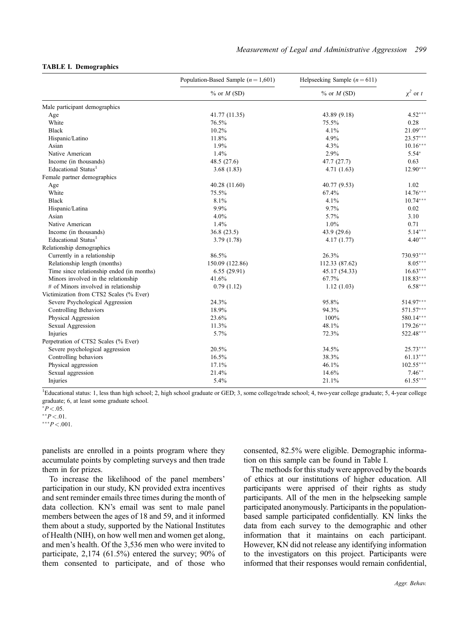#### TABLE I. Demographics

|                                           | Population-Based Sample $(n = 1,601)$ | Helpseeking Sample $(n=611)$ |               |
|-------------------------------------------|---------------------------------------|------------------------------|---------------|
|                                           | $\%$ or $M$ (SD)                      | $\%$ or $M$ (SD)             | $\chi^2$ or t |
| Male participant demographics             |                                       |                              |               |
| Age                                       | 41.77 (11.35)                         | 43.89 (9.18)                 | $4.52***$     |
| White                                     | 76.5%                                 | 75.5%                        | 0.28          |
| <b>Black</b>                              | 10.2%                                 | 4.1%                         | $21.09***$    |
| Hispanic/Latino                           | 11.8%                                 | 4.9%                         | $23.57***$    |
| Asian                                     | 1.9%                                  | 4.3%                         | $10.16***$    |
| Native American                           | 1.4%                                  | 2.9%                         | $5.54*$       |
| Income (in thousands)                     | 48.5 (27.6)                           | 47.7 (27.7)                  | 0.63          |
| Educational Status <sup>1</sup>           | 3.68(1.83)                            | 4.71(1.63)                   | $12.90***$    |
| Female partner demographics               |                                       |                              |               |
| Age                                       | 40.28 (11.60)                         | 40.77 (9.53)                 | 1.02          |
| White                                     | 75.5%                                 | 67.4%                        | $14.76***$    |
| <b>Black</b>                              | 8.1%                                  | 4.1%                         | $10.74***$    |
| Hispanic/Latina                           | 9.9%                                  | 9.7%                         | 0.02          |
| Asian                                     | 4.0%                                  | 5.7%                         | 3.10          |
| Native American                           | 1.4%                                  | 1.0%                         | 0.71          |
| Income (in thousands)                     | 36.8(23.5)                            | 43.9 (29.6)                  | $5.14***$     |
| Educational Status <sup>1</sup>           | 3.79 (1.78)                           | 4.17(1.77)                   | $4.40***$     |
| Relationship demographics                 |                                       |                              |               |
| Currently in a relationship               | 86.5%                                 | 26.3%                        | 730.93***     |
| Relationship length (months)              | 150.09 (122.86)                       | 112.33 (87.62)               | $8.05***$     |
| Time since relationship ended (in months) | 6.55(29.91)                           | 45.17 (54.33)                | $16.63***$    |
| Minors involved in the relationship       | 41.6%                                 | 67.7%                        | $118.83***$   |
| # of Minors involved in relationship      | 0.79(1.12)                            | 1.12(1.03)                   | $6.58***$     |
| Victimization from CTS2 Scales (% Ever)   |                                       |                              |               |
| Severe Psychological Aggression           | 24.3%                                 | 95.8%                        | 514.97***     |
| <b>Controlling Behaviors</b>              | 18.9%                                 | 94.3%                        | 571.57***     |
| Physical Aggression                       | 23.6%                                 | 100%                         | 580.14***     |
| Sexual Aggression                         | 11.3%                                 | 48.1%                        | $179.26***$   |
| Injuries                                  | 5.7%                                  | 72.3%                        | 522.48***     |
| Perpetration of CTS2 Scales (% Ever)      |                                       |                              |               |
| Severe psychological aggression           | 20.5%                                 | 34.5%                        | $25.73***$    |
| Controlling behaviors                     | 16.5%                                 | 38.3%                        | $61.13***$    |
| Physical aggression                       | 17.1%                                 | 46.1%                        | $102.55***$   |
| Sexual aggression                         | 21.4%                                 | 14.6%                        | $7.46**$      |
| Injuries                                  | 5.4%                                  | 21.1%                        | $61.55***$    |

<sup>1</sup>Educational status: 1, less than high school; 2, high school graduate or GED; 3, some college/trade school; 4, two-year college graduate; 5, 4-year college graduate; 6, at least some graduate school.

 $*P < .05$ .

 $*$  $P$  < 0.01.

 $***P<.001$ .

panelists are enrolled in a points program where they accumulate points by completing surveys and then trade them in for prizes.

To increase the likelihood of the panel members' participation in our study, KN provided extra incentives and sent reminder emails three times during the month of data collection. KN's email was sent to male panel members between the ages of 18 and 59, and it informed them about a study, supported by the National Institutes of Health (NIH), on how well men and women get along, and men's health. Of the 3,536 men who were invited to participate, 2,174 (61.5%) entered the survey; 90% of them consented to participate, and of those who

consented, 82.5% were eligible. Demographic information on this sample can be found in Table I.

The methods for this study were approved by the boards of ethics at our institutions of higher education. All participants were apprised of their rights as study participants. All of the men in the helpseeking sample participated anonymously. Participants in the population‐ based sample participated confidentially. KN links the data from each survey to the demographic and other information that it maintains on each participant. However, KN did not release any identifying information to the investigators on this project. Participants were informed that their responses would remain confidential,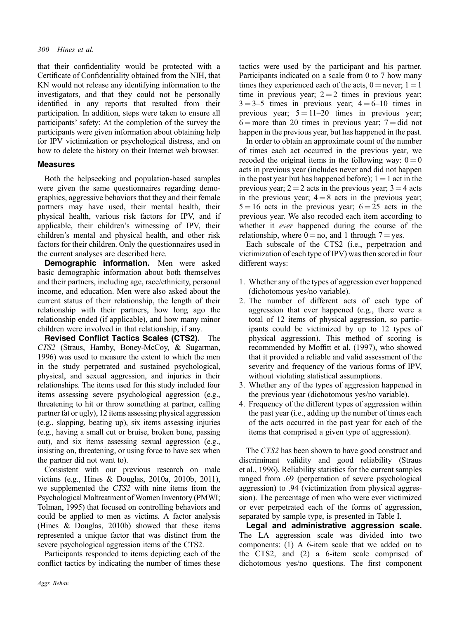that their confidentiality would be protected with a Certificate of Confidentiality obtained from the NIH, that KN would not release any identifying information to the investigators, and that they could not be personally identified in any reports that resulted from their participation. In addition, steps were taken to ensure all participants' safety: At the completion of the survey the participants were given information about obtaining help for IPV victimization or psychological distress, and on how to delete the history on their Internet web browser.

## Measures

Both the helpseeking and population‐based samples were given the same questionnaires regarding demographics, aggressive behaviors that they and their female partners may have used, their mental health, their physical health, various risk factors for IPV, and if applicable, their children's witnessing of IPV, their children's mental and physical health, and other risk factors for their children. Only the questionnaires used in the current analyses are described here.

Demographic information. Men were asked basic demographic information about both themselves and their partners, including age, race/ethnicity, personal income, and education. Men were also asked about the current status of their relationship, the length of their relationship with their partners, how long ago the relationship ended (if applicable), and how many minor children were involved in that relationship, if any.

Revised Conflict Tactics Scales (CTS2). The CTS2 (Straus, Hamby, Boney‐McCoy, & Sugarman, 1996) was used to measure the extent to which the men in the study perpetrated and sustained psychological, physical, and sexual aggression, and injuries in their relationships. The items used for this study included four items assessing severe psychological aggression (e.g., threatening to hit or throw something at partner, calling partner fat or ugly), 12 items assessing physical aggression (e.g., slapping, beating up), six items assessing injuries (e.g., having a small cut or bruise, broken bone, passing out), and six items assessing sexual aggression (e.g., insisting on, threatening, or using force to have sex when the partner did not want to).

Consistent with our previous research on male victims (e.g., Hines & Douglas, 2010a, 2010b, 2011), we supplemented the CTS2 with nine items from the Psychological Maltreatment of Women Inventory (PMWI; Tolman, 1995) that focused on controlling behaviors and could be applied to men as victims. A factor analysis (Hines & Douglas, 2010b) showed that these items represented a unique factor that was distinct from the severe psychological aggression items of the CTS2.

Participants responded to items depicting each of the conflict tactics by indicating the number of times these

tactics were used by the participant and his partner. Participants indicated on a scale from 0 to 7 how many times they experienced each of the acts,  $0 =$  never;  $1 = 1$ time in previous year;  $2 = 2$  times in previous year;  $3 = 3-5$  times in previous year;  $4 = 6-10$  times in previous year;  $5 = 11-20$  times in previous year;  $6 =$  more than 20 times in previous year;  $7 =$  did not happen in the previous year, but has happened in the past.

In order to obtain an approximate count of the number of times each act occurred in the previous year, we recoded the original items in the following way:  $0 = 0$ acts in previous year (includes never and did not happen in the past year but has happened before);  $1 = 1$  act in the previous year;  $2 = 2$  acts in the previous year;  $3 = 4$  acts in the previous year;  $4 = 8$  acts in the previous year;  $5 = 16$  acts in the previous year;  $6 = 25$  acts in the previous year. We also recoded each item according to whether it ever happened during the course of the relationship, where  $0 = no$ , and 1 through  $7 = yes$ .

Each subscale of the CTS2 (i.e., perpetration and victimization of each type of IPV) was then scored in four different ways:

- 1. Whether any of the types of aggression ever happened (dichotomous yes/no variable).
- 2. The number of different acts of each type of aggression that ever happened (e.g., there were a total of 12 items of physical aggression, so participants could be victimized by up to 12 types of physical aggression). This method of scoring is recommended by Moffitt et al. (1997), who showed that it provided a reliable and valid assessment of the severity and frequency of the various forms of IPV, without violating statistical assumptions.
- 3. Whether any of the types of aggression happened in the previous year (dichotomous yes/no variable).
- 4. Frequency of the different types of aggression within the past year (i.e., adding up the number of times each of the acts occurred in the past year for each of the items that comprised a given type of aggression).

The CTS2 has been shown to have good construct and discriminant validity and good reliability (Straus et al., 1996). Reliability statistics for the current samples ranged from .69 (perpetration of severe psychological aggression) to .94 (victimization from physical aggression). The percentage of men who were ever victimized or ever perpetrated each of the forms of aggression, separated by sample type, is presented in Table I.

Legal and administrative aggression scale. The LA aggression scale was divided into two components: (1) A 6‐item scale that we added on to the CTS2, and (2) a 6‐item scale comprised of dichotomous yes/no questions. The first component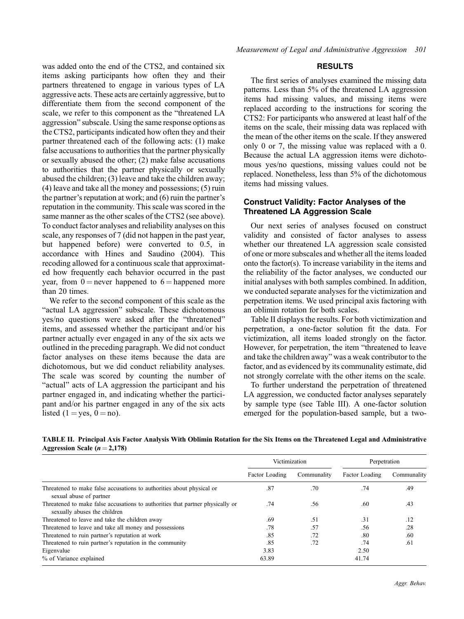was added onto the end of the CTS2, and contained six items asking participants how often they and their partners threatened to engage in various types of LA aggressive acts. These acts are certainly aggressive, but to differentiate them from the second component of the scale, we refer to this component as the "threatened LA aggression" subscale. Using the same response options as the CTS2, participants indicated how often they and their partner threatened each of the following acts: (1) make false accusations to authorities that the partner physically or sexually abused the other; (2) make false accusations to authorities that the partner physically or sexually abused the children; (3) leave and take the children away; (4) leave and take all the money and possessions; (5) ruin the partner's reputation at work; and (6) ruin the partner's reputation in the community. This scale was scored in the same manner as the other scales of the CTS2 (see above). To conduct factor analyses and reliability analyses on this scale, any responses of 7 (did not happen in the past year, but happened before) were converted to 0.5, in accordance with Hines and Saudino (2004). This recoding allowed for a continuous scale that approximated how frequently each behavior occurred in the past year, from  $0 =$  never happened to  $6 =$  happened more than 20 times.

We refer to the second component of this scale as the "actual LA aggression" subscale. These dichotomous yes/no questions were asked after the "threatened" items, and assessed whether the participant and/or his partner actually ever engaged in any of the six acts we outlined in the preceding paragraph. We did not conduct factor analyses on these items because the data are dichotomous, but we did conduct reliability analyses. The scale was scored by counting the number of "actual" acts of LA aggression the participant and his partner engaged in, and indicating whether the participant and/or his partner engaged in any of the six acts listed  $(1 = yes, 0 = no)$ .

## RESULTS

The first series of analyses examined the missing data patterns. Less than 5% of the threatened LA aggression items had missing values, and missing items were replaced according to the instructions for scoring the CTS2: For participants who answered at least half of the items on the scale, their missing data was replaced with the mean of the other items on the scale. If they answered only 0 or 7, the missing value was replaced with a 0. Because the actual LA aggression items were dichotomous yes/no questions, missing values could not be replaced. Nonetheless, less than 5% of the dichotomous items had missing values.

## Construct Validity: Factor Analyses of the Threatened LA Aggression Scale

Our next series of analyses focused on construct validity and consisted of factor analyses to assess whether our threatened LA aggression scale consisted of one or more subscales and whether all the items loaded onto the factor(s). To increase variability in the items and the reliability of the factor analyses, we conducted our initial analyses with both samples combined. In addition, we conducted separate analyses for the victimization and perpetration items. We used principal axis factoring with an oblimin rotation for both scales.

Table II displays the results. For both victimization and perpetration, a one‐factor solution fit the data. For victimization, all items loaded strongly on the factor. However, for perpetration, the item "threatened to leave and take the children away" was a weak contributor to the factor, and as evidenced by its communality estimate, did not strongly correlate with the other items on the scale.

To further understand the perpetration of threatened LA aggression, we conducted factor analyses separately by sample type (see Table III). A one‐factor solution emerged for the population-based sample, but a two-

| TABLE II. Principal Axis Factor Analysis With Oblimin Rotation for the Six Items on the Threatened Legal and Administrative |  |  |  |
|-----------------------------------------------------------------------------------------------------------------------------|--|--|--|
| Aggression Scale ( $n = 2,178$ )                                                                                            |  |  |  |

|                                                                                                                | Victimization  |             | Perpetration   |             |
|----------------------------------------------------------------------------------------------------------------|----------------|-------------|----------------|-------------|
|                                                                                                                | Factor Loading | Communality | Factor Loading | Communality |
| Threatened to make false accusations to authorities about physical or<br>sexual abuse of partner               | .87            | .70         | .74            | .49         |
| Threatened to make false accusations to authorities that partner physically or<br>sexually abuses the children | .74            | .56         | .60            | .43         |
| Threatened to leave and take the children away                                                                 | .69            | .51         | .31            | .12         |
| Threatened to leave and take all money and possessions                                                         | .78            | .57         | .56            | .28         |
| Threatened to ruin partner's reputation at work                                                                | .85            | .72         | .80            | .60         |
| Threatened to ruin partner's reputation in the community                                                       | .85            | .72         | .74            | .61         |
| Eigenvalue                                                                                                     | 3.83           |             | 2.50           |             |
| % of Variance explained                                                                                        | 63.89          |             | 41.74          |             |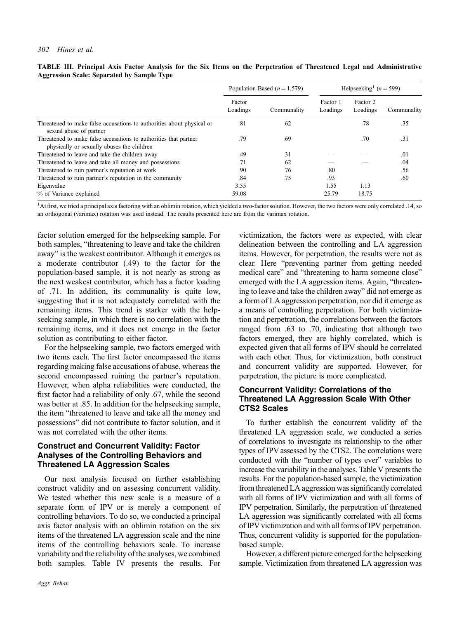|                                                                                                                |                    | Population-Based ( $n = 1,579$ ) |                      | Helpseeking <sup>1</sup> ( $n = 599$ ) |             |
|----------------------------------------------------------------------------------------------------------------|--------------------|----------------------------------|----------------------|----------------------------------------|-------------|
|                                                                                                                | Factor<br>Loadings | Communality                      | Factor 1<br>Loadings | Factor 2<br>Loadings                   | Communality |
| Threatened to make false accusations to authorities about physical or<br>sexual abuse of partner               | .81                | .62                              |                      | .78                                    | .35         |
| Threatened to make false accusations to authorities that partner<br>physically or sexually abuses the children | .79                | .69                              |                      | .70                                    | .31         |
| Threatened to leave and take the children away                                                                 | .49                | .31                              |                      |                                        | .01         |
| Threatened to leave and take all money and possessions                                                         | .71                | .62                              |                      |                                        | .04         |
| Threatened to ruin partner's reputation at work                                                                | .90                | .76                              | .80                  |                                        | .56         |
| Threatened to ruin partner's reputation in the community                                                       | .84                | .75                              | .93                  |                                        | .60         |
| Eigenvalue                                                                                                     | 3.55               |                                  | 1.55                 | 1.13                                   |             |
| % of Variance explained                                                                                        | 59.08              |                                  | 25.79                | 18.75                                  |             |

TABLE III. Principal Axis Factor Analysis for the Six Items on the Perpetration of Threatened Legal and Administrative Aggression Scale: Separated by Sample Type

<sup>1</sup>At first, we tried a principal axis factoring with an oblimin rotation, which yielded a two-factor solution. However, the two factors were only correlated .14, so an orthogonal (varimax) rotation was used instead. The results presented here are from the varimax rotation.

factor solution emerged for the helpseeking sample. For both samples, "threatening to leave and take the children away" is the weakest contributor. Although it emerges as a moderate contributor (.49) to the factor for the population‐based sample, it is not nearly as strong as the next weakest contributor, which has a factor loading of .71. In addition, its communality is quite low, suggesting that it is not adequately correlated with the remaining items. This trend is starker with the helpseeking sample, in which there is no correlation with the remaining items, and it does not emerge in the factor solution as contributing to either factor.

For the helpseeking sample, two factors emerged with two items each. The first factor encompassed the items regarding making false accusations of abuse, whereas the second encompassed ruining the partner's reputation. However, when alpha reliabilities were conducted, the first factor had a reliability of only .67, while the second was better at .85. In addition for the helpseeking sample, the item "threatened to leave and take all the money and possessions" did not contribute to factor solution, and it was not correlated with the other items.

## Construct and Concurrent Validity: Factor Analyses of the Controlling Behaviors and Threatened LA Aggression Scales

Our next analysis focused on further establishing construct validity and on assessing concurrent validity. We tested whether this new scale is a measure of a separate form of IPV or is merely a component of controlling behaviors. To do so, we conducted a principal axis factor analysis with an oblimin rotation on the six items of the threatened LA aggression scale and the nine items of the controlling behaviors scale. To increase variability and the reliability of the analyses, we combined both samples. Table IV presents the results. For

victimization, the factors were as expected, with clear delineation between the controlling and LA aggression items. However, for perpetration, the results were not as clear. Here "preventing partner from getting needed medical care" and "threatening to harm someone close" emerged with the LA aggression items. Again, "threatening to leave and take the children away" did not emerge as a form of LA aggression perpetration, nor did it emerge as a means of controlling perpetration. For both victimization and perpetration, the correlations between the factors ranged from .63 to .70, indicating that although two factors emerged, they are highly correlated, which is expected given that all forms of IPV should be correlated with each other. Thus, for victimization, both construct and concurrent validity are supported. However, for perpetration, the picture is more complicated.

## Concurrent Validity: Correlations of the Threatened LA Aggression Scale With Other CTS2 Scales

To further establish the concurrent validity of the threatened LA aggression scale, we conducted a series of correlations to investigate its relationship to the other types of IPV assessed by the CTS2. The correlations were conducted with the "number of types ever" variables to increase the variability in the analyses. Table V presents the results. For the population‐based sample, the victimization from threatened LA aggression was significantly correlated with all forms of IPV victimization and with all forms of IPV perpetration. Similarly, the perpetration of threatened LA aggression was significantly correlated with all forms of IPV victimization and with all forms of IPV perpetration. Thus, concurrent validity is supported for the population‐ based sample.

However, a different picture emerged for the helpseeking sample. Victimization from threatened LA aggression was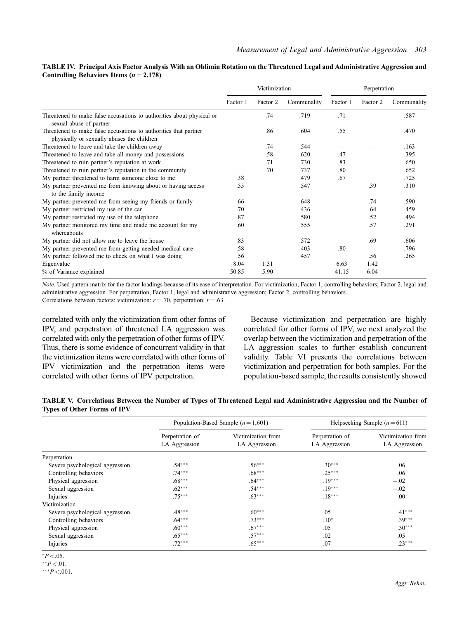#### TABLE IV. Principal Axis Factor Analysis With an Oblimin Rotation on the Threatened Legal and Administrative Aggression and Controlling Behaviors Items  $(n = 2,178)$

|                                                                                                                |          | Victimization |             |          | Perpetration |             |
|----------------------------------------------------------------------------------------------------------------|----------|---------------|-------------|----------|--------------|-------------|
|                                                                                                                | Factor 1 | Factor 2      | Communality | Factor 1 | Factor 2     | Communality |
| Threatened to make false accusations to authorities about physical or<br>sexual abuse of partner               |          | .74           | .719        | .71      |              | .587        |
| Threatened to make false accusations to authorities that partner<br>physically or sexually abuses the children |          | .86           | .604        | .55      |              | .470        |
| Threatened to leave and take the children away                                                                 |          | .74           | .544        |          |              | .163        |
| Threatened to leave and take all money and possessions                                                         |          | .58           | .620        | .47      |              | .395        |
| Threatened to ruin partner's reputation at work                                                                |          | .71           | .730        | .83      |              | .650        |
| Threatened to ruin partner's reputation in the community                                                       |          | .70           | .737        | .80      |              | .652        |
| My partner threatened to harm someone close to me                                                              | .38      |               | .479        | .67      |              | .725        |
| My partner prevented me from knowing about or having access<br>to the family income                            | .55      |               | .547        |          | .39          | .310        |
| My partner prevented me from seeing my friends or family                                                       | .66      |               | .648        |          | .74          | .590        |
| My partner restricted my use of the car                                                                        | .70      |               | .436        |          | .64          | .459        |
| My partner restricted my use of the telephone                                                                  | .87      |               | .580        |          | .52          | .494        |
| My partner monitored my time and made me account for my<br>whereabouts                                         | .60      |               | .555        |          | .57          | .291        |
| My partner did not allow me to leave the house                                                                 | .83      |               | .572        |          | .69          | .606        |
| My partner prevented me from getting needed medical care                                                       | .58      |               | .403        | .80      |              | .796        |
| My partner followed me to check on what I was doing                                                            | .56      |               | .457        |          | .56          | .265        |
| Eigenvalue                                                                                                     | 8.04     | 1.31          |             | 6.63     | 1.42         |             |
| % of Variance explained                                                                                        | 50.85    | 5.90          |             | 41.15    | 6.04         |             |

Note. Used pattern matrix for the factor loadings because of its ease of interpretation. For victimization, Factor 1, controlling behaviors; Factor 2, legal and administrative aggression. For perpetration, Factor 1, legal and administrative aggression; Factor 2, controlling behaviors. Correlations between factors: victimization:  $r = .70$ , perpetration:  $r = .63$ .

correlated with only the victimization from other forms of

IPV, and perpetration of threatened LA aggression was correlated with only the perpetration of other forms of IPV. Thus, there is some evidence of concurrent validity in that the victimization items were correlated with other forms of IPV victimization and the perpetration items were correlated with other forms of IPV perpetration.

Because victimization and perpetration are highly correlated for other forms of IPV, we next analyzed the overlap between the victimization and perpetration of the LA aggression scales to further establish concurrent validity. Table VI presents the correlations between victimization and perpetration for both samples. For the population‐based sample, the results consistently showed

TABLE V. Correlations Between the Number of Types of Threatened Legal and Administrative Aggression and the Number of Types of Other Forms of IPV

|                                 |                                  | Population-Based Sample $(n = 1,601)$ |                                  | Helpseeking Sample $(n=611)$        |
|---------------------------------|----------------------------------|---------------------------------------|----------------------------------|-------------------------------------|
|                                 | Perpetration of<br>LA Aggression | Victimization from<br>LA Aggression   | Perpetration of<br>LA Aggression | Victimization from<br>LA Aggression |
| Perpetration                    |                                  |                                       |                                  |                                     |
| Severe psychological aggression | $.54***$                         | $.56***$                              | $.30***$                         | .06                                 |
| Controlling behaviors           | $.74***$                         | $.68***$                              | $.25***$                         | .06                                 |
| Physical aggression             | $.68***$                         | $.64***$                              | $.19***$                         | $-.02$                              |
| Sexual aggression               | $.62***$                         | $.54***$                              | $.19***$                         | $-.02$                              |
| Injuries                        | $.75***$                         | $.63***$                              | $.18***$                         | .00                                 |
| Victimization                   |                                  |                                       |                                  |                                     |
| Severe psychological aggression | $.48***$                         | $.60***$                              | .05                              | $.41***$                            |
| Controlling behaviors           | $.64***$                         | $.73***$                              | $.10*$                           | $.39***$                            |
| Physical aggression             | $.60***$                         | $.67***$                              | .05                              | $.30***$                            |
| Sexual aggression               | $.65***$                         | $.57***$                              | .02                              | .05                                 |
| Injuries                        | $.72***$                         | $.65***$                              | .07                              | $.23***$                            |

 $*P < .05$ .

 $*^*P < .01$ .

 $***P<.001$ .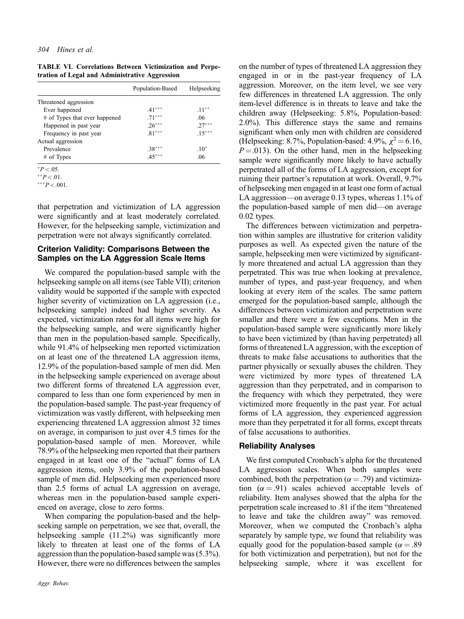|  |  | <b>TABLE VI. Correlations Between Victimization and Perpe-</b> |  |
|--|--|----------------------------------------------------------------|--|
|  |  | tration of Legal and Administrative Aggression                 |  |

| Population-Based | Helpseeking |
|------------------|-------------|
|                  |             |
| $.41***$         | $.11***$    |
| $.71***$         | .06         |
| $.26***$         | $27***$     |
| $.81***$         | $.15***$    |
|                  |             |
| $.38***$         | $.10*$      |
| $.45***$         | .06         |
|                  |             |

 $*P < .05$ .

 $*$  $P < .01$ .

 $***P<.001$ .

that perpetration and victimization of LA aggression were significantly and at least moderately correlated. However, for the helpseeking sample, victimization and perpetration were not always significantly correlated.

## Criterion Validity: Comparisons Between the Samples on the LA Aggression Scale Items

We compared the population‐based sample with the helpseeking sample on all items (see Table VII); criterion validity would be supported if the sample with expected higher severity of victimization on LA aggression (i.e., helpseeking sample) indeed had higher severity. As expected, victimization rates for all items were high for the helpseeking sample, and were significantly higher than men in the population‐based sample. Specifically, while 91.4% of helpseeking men reported victimization on at least one of the threatened LA aggression items, 12.9% of the population‐based sample of men did. Men in the helpseeking sample experienced on average about two different forms of threatened LA aggression ever, compared to less than one form experienced by men in the population‐based sample. The past‐year frequency of victimization was vastly different, with helpseeking men experiencing threatened LA aggression almost 32 times on average, in comparison to just over 4.5 times for the population‐based sample of men. Moreover, while 78.9% of the helpseeking men reported that their partners engaged in at least one of the "actual" forms of LA aggression items, only 3.9% of the population‐based sample of men did. Helpseeking men experienced more than 2.5 forms of actual LA aggression on average, whereas men in the population-based sample experienced on average, close to zero forms.

When comparing the population-based and the helpseeking sample on perpetration, we see that, overall, the helpseeking sample (11.2%) was significantly more likely to threaten at least one of the forms of LA aggression than the population‐based sample was (5.3%). However, there were no differences between the samples on the number of types of threatened LA aggression they engaged in or in the past‐year frequency of LA aggression. Moreover, on the item level, we see very few differences in threatened LA aggression. The only item‐level difference is in threats to leave and take the children away (Helpseeking: 5.8%, Population‐based: 2.0%). This difference stays the same and remains significant when only men with children are considered (Helpseeking: 8.7%, Population-based: 4.9%,  $\chi^2 = 6.16$ ,  $P = .013$ ). On the other hand, men in the helpseeking sample were significantly more likely to have actually perpetrated all of the forms of LA aggression, except for ruining their partner's reputation at work. Overall, 9.7% of helpseeking men engaged in at least one form of actual LA aggression—on average 0.13 types, whereas 1.1% of the population‐based sample of men did—on average 0.02 types.

The differences between victimization and perpetration within samples are illustrative for criterion validity purposes as well. As expected given the nature of the sample, helpseeking men were victimized by significantly more threatened and actual LA aggression than they perpetrated. This was true when looking at prevalence, number of types, and past-year frequency, and when looking at every item of the scales. The same pattern emerged for the population‐based sample, although the differences between victimization and perpetration were smaller and there were a few exceptions. Men in the population‐based sample were significantly more likely to have been victimized by (than having perpetrated) all forms of threatened LA aggression, with the exception of threats to make false accusations to authorities that the partner physically or sexually abuses the children. They were victimized by more types of threatened LA aggression than they perpetrated, and in comparison to the frequency with which they perpetrated, they were victimized more frequently in the past year. For actual forms of LA aggression, they experienced aggression more than they perpetrated it for all forms, except threats of false accusations to authorities.

## Reliability Analyses

We first computed Cronbach's alpha for the threatened LA aggression scales. When both samples were combined, both the perpetration ( $\alpha = .79$ ) and victimization ( $\alpha = .91$ ) scales achieved acceptable levels of reliability. Item analyses showed that the alpha for the perpetration scale increased to .81 if the item "threatened to leave and take the children away" was removed. Moreover, when we computed the Cronbach's alpha separately by sample type, we found that reliability was equally good for the population-based sample ( $\alpha = .89$ ) for both victimization and perpetration), but not for the helpseeking sample, where it was excellent for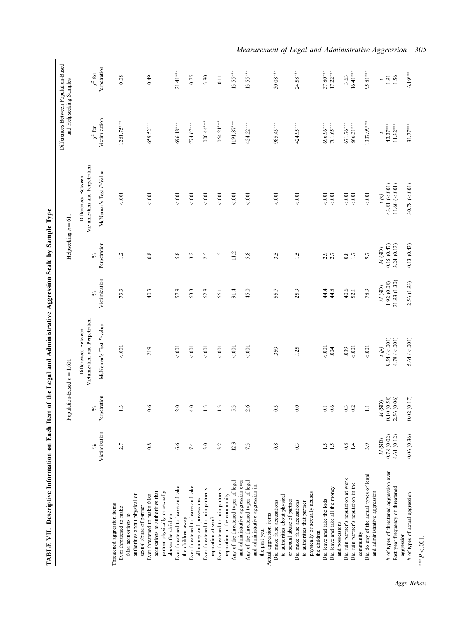|                                                                                          |                                | Population-Based $n = 1,601$  |                                                       |                                | Helpseeking $n = 611$       |                                                       | Differences Between Population-Based<br>and Helpseeking Samples |                              |
|------------------------------------------------------------------------------------------|--------------------------------|-------------------------------|-------------------------------------------------------|--------------------------------|-----------------------------|-------------------------------------------------------|-----------------------------------------------------------------|------------------------------|
|                                                                                          |                                |                               | Victimization and Perpetration<br>Differences Between |                                |                             | Victimization and Perpetration<br>Differences Between | $\chi^2$ for                                                    |                              |
|                                                                                          | Victimization<br>$\frac{6}{6}$ | Perpetration<br>$\frac{5}{6}$ | McNemar's Test P-value                                | Victimization<br>$\frac{6}{6}$ | Perpetration<br>℅           | McNemar's Test P-Value                                | Victimization                                                   | Perpetration<br>$\chi^2$ for |
| Threatened aggression items<br>Ever threatened to make                                   | 2.7                            | $\frac{13}{2}$                | $<.001$                                               | 73.3                           | 1.2                         | 001                                                   | $1261.75***$                                                    | 0.08                         |
| authorities about physical or<br>false accusations to                                    |                                |                               |                                                       |                                |                             |                                                       |                                                                 |                              |
| Ever threatened to make false<br>sexual abuse of partner                                 | $0.8\,$                        | 6.6                           | 219                                                   | 40.3                           | $0.8\,$                     | 001                                                   | 659.52***                                                       | 0.49                         |
| accusations to authorities that<br>partner physically or sexually<br>abuses the children |                                |                               |                                                       |                                |                             |                                                       |                                                                 |                              |
| Ever threatened to leave and take                                                        | 6.6                            | 2.0                           | 001                                                   | 57.9                           | 5.8                         | 001                                                   | 696.18***                                                       | $21.41***$                   |
| Ever threatened to leave and take<br>the children away                                   | 7.4                            | $\frac{6}{4}$                 | $< .001$                                              | 63.3                           | 3.2                         | $<001$                                                | $774.67***$                                                     | 0.75                         |
| Ever threatened to ruin partner's<br>all money and possessions                           | 3.0                            | $\mathbf{r}$                  | $<001$                                                | $62.8$                         | 2.5                         | 001                                                   | $1000.44***$                                                    | 3.80                         |
| reputation at work                                                                       |                                |                               |                                                       |                                |                             |                                                       |                                                                 |                              |
| Ever threatened to ruin partner's                                                        | 3.2                            | $\mathbf{r}$                  | $< .001$                                              | 66.1                           | $\ddot{.}1$                 | $<.001$                                               | $1064.21***$                                                    | 0.11                         |
| Any of the threatened types of legal<br>reputation in the community                      | 12.9                           | 5.3                           | $\leqslant$ .001                                      | 91.4                           | 11.2                        | $<.001$                                               | $1191.87***$                                                    | $13.55***$                   |
| and administrative aggression ever                                                       |                                |                               |                                                       |                                |                             |                                                       |                                                                 |                              |
| Any of the threatened types of legal<br>and administrative aggression in                 | 73                             | 2.6                           | $\leqslant$ 001                                       | 45.0                           | 5.8                         | $<.001$                                               | $424.22***$                                                     | $13.55***$                   |
| the past year                                                                            |                                |                               |                                                       |                                |                             |                                                       |                                                                 |                              |
| Actual aggression items                                                                  |                                |                               |                                                       |                                |                             |                                                       |                                                                 |                              |
| to authorities about physical<br>Did make false accusations                              | 0.8                            | $\frac{0.5}{2}$               | .359                                                  | 55.7                           | 3.5                         | 001                                                   | $985.45***$                                                     | $30.08***$                   |
| or sexual abuse of partner                                                               |                                |                               |                                                       |                                |                             |                                                       |                                                                 |                              |
| Did make false accusations                                                               | $0.\overline{3}$               | $\overline{0}$ .              | .125                                                  | 25.9                           | 1.5                         | < .001                                                | 424.95***                                                       | $24.58***$                   |
| to authorities that partner                                                              |                                |                               |                                                       |                                |                             |                                                       |                                                                 |                              |
| physically or sexually abuses<br>the children                                            |                                |                               |                                                       |                                |                             |                                                       |                                                                 |                              |
| Did leave and take the kids                                                              | $\ddot{5}$                     | $\overline{\circ}$            | 001                                                   | 44.4                           | 2.9                         | $<.001$                                               | 696.96***                                                       | $37.80***$                   |
| Did leave and take all the money                                                         | 1.5                            | 0.6                           | .004                                                  | 44.8                           | 2.7                         | 001                                                   | 701.65***                                                       | $17.22***$                   |
| and possessions                                                                          |                                |                               |                                                       |                                |                             |                                                       |                                                                 |                              |
| Did ruin partner's reputation at work                                                    | 0.8                            | 0.3                           | 039                                                   | 40.6                           | $0.8$<br>1.7                | $<.001$                                               | 671.76***                                                       | 3.63                         |
| Did ruin partner's reputation in the                                                     | 1.4                            | 0.2                           | $<.001$                                               | 52.1                           |                             | $<.001$                                               | 866.31***                                                       | $16.41***$                   |
| Did do any of the actual types of legal<br>and administrative aggression<br>community    | 3.9                            | Ξ                             | $<.001$                                               | 78.9                           | 9.7                         | $< .001$                                              | 1337.99***                                                      | 95.81***                     |
|                                                                                          | $M$ (SD)                       | $M$ (SD)                      | $\left(\phi\right)$                                   | $M$ (SD)                       | $M\left( \text{SD} \right)$ | $\left(\phi\right)$                                   | $\overline{a}$                                                  | $\overline{\phantom{a}}$     |
| # of types of threatened aggression ever                                                 | 0.78(0.02)<br>4.61 (0.12)      | 0.10(0.58)<br>2.56 (0.06)     | $9.54 \approx 001$<br>$4.78$ (<.001)                  | 31.93 (1.30)<br>1.92(0.08)     | 0.15(0.47)<br>3.24(0.13)    | 43.81 (< 001)<br>11.60 (< 001)                        | $42.27***$<br>$11.32***$                                        | 1.56<br>$1.91\,$             |
| Past year frequency of threatened<br>aggression                                          |                                |                               |                                                       |                                |                             |                                                       |                                                                 |                              |
| # of types of actual aggression                                                          | 0.06(0.36)                     | 0.02(0.17)                    | 5.64 (< 001                                           | 2.56 (1.93)                    | 0.13(0.43)                  | 30.78 (<.001)                                         | $31.77***$                                                      | $6.19***$                    |
| *** $P < 001$                                                                            |                                |                               |                                                       |                                |                             |                                                       |                                                                 |                              |

TABLE VII. Descriptive Information on Each Item of the Legal and Administrative Aggression Scale by Sample Type TABLE VII. Descriptive Information on Each Item of the Legal and Administrative Aggression Scale by Sample Type Measurement of Legal and Administrative Aggression 305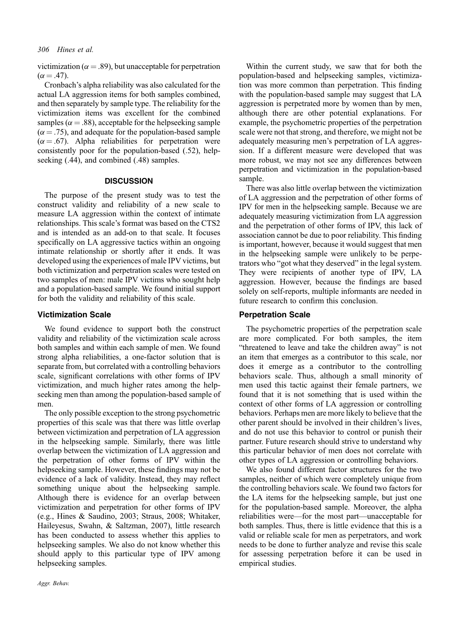victimization ( $\alpha = .89$ ), but unacceptable for perpetration  $(\alpha = .47)$ .

Cronbach's alpha reliability was also calculated for the actual LA aggression items for both samples combined, and then separately by sample type. The reliability for the victimization items was excellent for the combined samples ( $\alpha = .88$ ), acceptable for the helpseeking sample  $(\alpha = .75)$ , and adequate for the population-based sample  $(\alpha = .67)$ . Alpha reliabilities for perpetration were consistently poor for the population‐based (.52), helpseeking  $(.44)$ , and combined  $(.48)$  samples.

#### **DISCUSSION**

The purpose of the present study was to test the construct validity and reliability of a new scale to measure LA aggression within the context of intimate relationships. This scale's format was based on the CTS2 and is intended as an add‐on to that scale. It focuses specifically on LA aggressive tactics within an ongoing intimate relationship or shortly after it ends. It was developed using the experiences of male IPV victims, but both victimization and perpetration scales were tested on two samples of men: male IPV victims who sought help and a population‐based sample. We found initial support for both the validity and reliability of this scale.

### Victimization Scale

We found evidence to support both the construct validity and reliability of the victimization scale across both samples and within each sample of men. We found strong alpha reliabilities, a one‐factor solution that is separate from, but correlated with a controlling behaviors scale, significant correlations with other forms of IPV victimization, and much higher rates among the helpseeking men than among the population‐based sample of men.

The only possible exception to the strong psychometric properties of this scale was that there was little overlap between victimization and perpetration of LA aggression in the helpseeking sample. Similarly, there was little overlap between the victimization of LA aggression and the perpetration of other forms of IPV within the helpseeking sample. However, these findings may not be evidence of a lack of validity. Instead, they may reflect something unique about the helpseeking sample. Although there is evidence for an overlap between victimization and perpetration for other forms of IPV (e.g., Hines & Saudino, 2003; Straus, 2008; Whitaker, Haileyesus, Swahn, & Saltzman, 2007), little research has been conducted to assess whether this applies to helpseeking samples. We also do not know whether this should apply to this particular type of IPV among helpseeking samples.

Within the current study, we saw that for both the population‐based and helpseeking samples, victimization was more common than perpetration. This finding with the population-based sample may suggest that LA aggression is perpetrated more by women than by men, although there are other potential explanations. For example, the psychometric properties of the perpetration scale were not that strong, and therefore, we might not be adequately measuring men's perpetration of LA aggression. If a different measure were developed that was more robust, we may not see any differences between perpetration and victimization in the population‐based sample.

There was also little overlap between the victimization of LA aggression and the perpetration of other forms of IPV for men in the helpseeking sample. Because we are adequately measuring victimization from LA aggression and the perpetration of other forms of IPV, this lack of association cannot be due to poor reliability. This finding is important, however, because it would suggest that men in the helpseeking sample were unlikely to be perpetrators who "got what they deserved" in the legal system. They were recipients of another type of IPV, LA aggression. However, because the findings are based solely on self-reports, multiple informants are needed in future research to confirm this conclusion.

#### Perpetration Scale

The psychometric properties of the perpetration scale are more complicated. For both samples, the item "threatened to leave and take the children away" is not an item that emerges as a contributor to this scale, nor does it emerge as a contributor to the controlling behaviors scale. Thus, although a small minority of men used this tactic against their female partners, we found that it is not something that is used within the context of other forms of LA aggression or controlling behaviors. Perhaps men are more likely to believe that the other parent should be involved in their children's lives, and do not use this behavior to control or punish their partner. Future research should strive to understand why this particular behavior of men does not correlate with other types of LA aggression or controlling behaviors.

We also found different factor structures for the two samples, neither of which were completely unique from the controlling behaviors scale. We found two factors for the LA items for the helpseeking sample, but just one for the population‐based sample. Moreover, the alpha reliabilities were—for the most part—unacceptable for both samples. Thus, there is little evidence that this is a valid or reliable scale for men as perpetrators, and work needs to be done to further analyze and revise this scale for assessing perpetration before it can be used in empirical studies.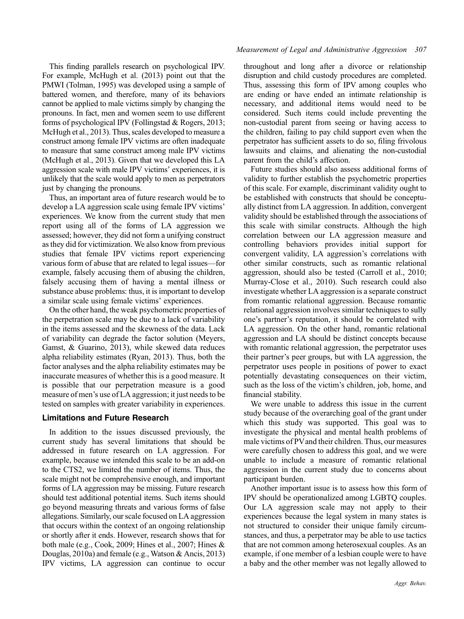This finding parallels research on psychological IPV. For example, McHugh et al. (2013) point out that the PMWI (Tolman, 1995) was developed using a sample of battered women, and therefore, many of its behaviors cannot be applied to male victims simply by changing the pronouns. In fact, men and women seem to use different forms of psychological IPV (Follingstad & Rogers, 2013; McHugh et al., 2013). Thus, scales developed to measure a construct among female IPV victims are often inadequate to measure that same construct among male IPV victims (McHugh et al., 2013). Given that we developed this LA aggression scale with male IPV victims' experiences, it is unlikely that the scale would apply to men as perpetrators just by changing the pronouns.

Thus, an important area of future research would be to develop a LA aggression scale using female IPV victims' experiences. We know from the current study that men report using all of the forms of LA aggression we assessed; however, they did not form a unifying construct as they did for victimization. We also know from previous studies that female IPV victims report experiencing various form of abuse that are related to legal issues—for example, falsely accusing them of abusing the children, falsely accusing them of having a mental illness or substance abuse problems: thus, it is important to develop a similar scale using female victims' experiences.

On the other hand, the weak psychometric properties of the perpetration scale may be due to a lack of variability in the items assessed and the skewness of the data. Lack of variability can degrade the factor solution (Meyers, Gamst, & Guarino, 2013), while skewed data reduces alpha reliability estimates (Ryan, 2013). Thus, both the factor analyses and the alpha reliability estimates may be inaccurate measures of whether this is a good measure. It is possible that our perpetration measure is a good measure of men's use of LA aggression; it just needs to be tested on samples with greater variability in experiences.

## Limitations and Future Research

In addition to the issues discussed previously, the current study has several limitations that should be addressed in future research on LA aggression. For example, because we intended this scale to be an add‐on to the CTS2, we limited the number of items. Thus, the scale might not be comprehensive enough, and important forms of LA aggression may be missing. Future research should test additional potential items. Such items should go beyond measuring threats and various forms of false allegations. Similarly, our scale focused on LA aggression that occurs within the context of an ongoing relationship or shortly after it ends. However, research shows that for both male (e.g., Cook, 2009; Hines et al., 2007; Hines & Douglas, 2010a) and female (e.g., Watson & Ancis, 2013) IPV victims, LA aggression can continue to occur

throughout and long after a divorce or relationship disruption and child custody procedures are completed. Thus, assessing this form of IPV among couples who are ending or have ended an intimate relationship is necessary, and additional items would need to be considered. Such items could include preventing the non‐custodial parent from seeing or having access to the children, failing to pay child support even when the perpetrator has sufficient assets to do so, filing frivolous lawsuits and claims, and alienating the non‐custodial parent from the child's affection.

Future studies should also assess additional forms of validity to further establish the psychometric properties of this scale. For example, discriminant validity ought to be established with constructs that should be conceptually distinct from LA aggression. In addition, convergent validity should be established through the associations of this scale with similar constructs. Although the high correlation between our LA aggression measure and controlling behaviors provides initial support for convergent validity, LA aggression's correlations with other similar constructs, such as romantic relational aggression, should also be tested (Carroll et al., 2010; Murray‐Close et al., 2010). Such research could also investigate whether LA aggression is a separate construct from romantic relational aggression. Because romantic relational aggression involves similar techniques to sully one's partner's reputation, it should be correlated with LA aggression. On the other hand, romantic relational aggression and LA should be distinct concepts because with romantic relational aggression, the perpetrator uses their partner's peer groups, but with LA aggression, the perpetrator uses people in positions of power to exact potentially devastating consequences on their victim, such as the loss of the victim's children, job, home, and financial stability.

We were unable to address this issue in the current study because of the overarching goal of the grant under which this study was supported. This goal was to investigate the physical and mental health problems of male victims of PV and their children. Thus, our measures were carefully chosen to address this goal, and we were unable to include a measure of romantic relational aggression in the current study due to concerns about participant burden.

Another important issue is to assess how this form of IPV should be operationalized among LGBTQ couples. Our LA aggression scale may not apply to their experiences because the legal system in many states is not structured to consider their unique family circumstances, and thus, a perpetrator may be able to use tactics that are not common among heterosexual couples. As an example, if one member of a lesbian couple were to have a baby and the other member was not legally allowed to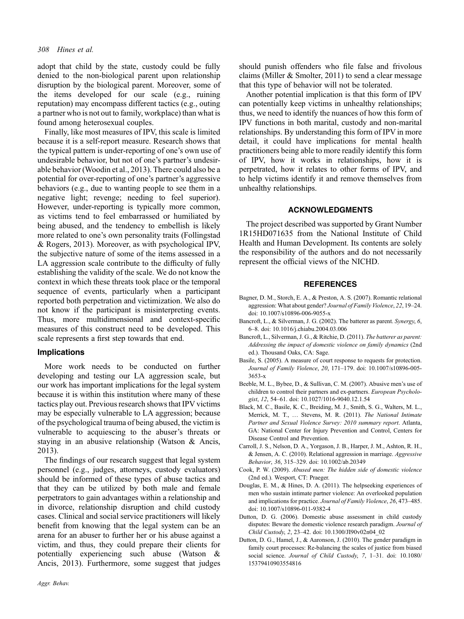adopt that child by the state, custody could be fully denied to the non‐biological parent upon relationship disruption by the biological parent. Moreover, some of the items developed for our scale (e.g., ruining reputation) may encompass different tactics (e.g., outing a partner who is not out to family, workplace) than what is found among heterosexual couples.

Finally, like most measures of IPV, this scale is limited because it is a self‐report measure. Research shows that the typical pattern is under‐reporting of one's own use of undesirable behavior, but not of one's partner's undesirable behavior (Woodin et al., 2013). There could also be a potential for over‐reporting of one's partner's aggressive behaviors (e.g., due to wanting people to see them in a negative light; revenge; needing to feel superior). However, under‐reporting is typically more common, as victims tend to feel embarrassed or humiliated by being abused, and the tendency to embellish is likely more related to one's own personality traits (Follingstad & Rogers, 2013). Moreover, as with psychological IPV, the subjective nature of some of the items assessed in a LA aggression scale contribute to the difficulty of fully establishing the validity of the scale. We do not know the context in which these threats took place or the temporal sequence of events, particularly when a participant reported both perpetration and victimization. We also do not know if the participant is misinterpreting events. Thus, more multidimensional and context‐specific measures of this construct need to be developed. This scale represents a first step towards that end.

#### Implications

More work needs to be conducted on further developing and testing our LA aggression scale, but our work has important implications for the legal system because it is within this institution where many of these tactics play out. Previous research shows that IPV victims may be especially vulnerable to LA aggression; because of the psychological trauma of being abused, the victim is vulnerable to acquiescing to the abuser's threats or staying in an abusive relationship (Watson & Ancis, 2013).

The findings of our research suggest that legal system personnel (e.g., judges, attorneys, custody evaluators) should be informed of these types of abuse tactics and that they can be utilized by both male and female perpetrators to gain advantages within a relationship and in divorce, relationship disruption and child custody cases. Clinical and social service practitioners will likely benefit from knowing that the legal system can be an arena for an abuser to further her or his abuse against a victim, and thus, they could prepare their clients for potentially experiencing such abuse (Watson & Ancis, 2013). Furthermore, some suggest that judges should punish offenders who file false and frivolous claims (Miller  $&$  Smolter, 2011) to send a clear message that this type of behavior will not be tolerated.

Another potential implication is that this form of IPV can potentially keep victims in unhealthy relationships; thus, we need to identify the nuances of how this form of IPV functions in both marital, custody and non‐marital relationships. By understanding this form of IPV in more detail, it could have implications for mental health practitioners being able to more readily identify this form of IPV, how it works in relationships, how it is perpetrated, how it relates to other forms of IPV, and to help victims identify it and remove themselves from unhealthy relationships.

#### ACKNOWLEDGMENTS

The project described was supported by Grant Number 1R15HD071635 from the National Institute of Child Health and Human Development. Its contents are solely the responsibility of the authors and do not necessarily represent the official views of the NICHD.

#### REFERENCES

- Bagner, D. M., Storch, E. A., & Preston, A. S. (2007). Romantic relational aggression: What about gender? Journal of Family Violence, 22, 19–24. doi: 10.1007/s10896‐006‐9055‐x
- Bancroft, L., & Silverman, J. G. (2002). The batterer as parent. Synergy, 6, 6–8. doi: 10.1016/j.chiabu.2004.03.006
- Bancroft, L., Silverman, J. G., & Ritchie, D. (2011). The batterer as parent: Addressing the impact of domestic violence on family dynamics (2nd ed.). Thousand Oaks, CA: Sage.
- Basile, S. (2005). A measure of court response to requests for protection. Journal of Family Violence, 20, 171–179. doi: 10.1007/s10896‐005‐ 3653‐x
- Beeble, M. L., Bybee, D., & Sullivan, C. M. (2007). Abusive men's use of children to control their partners and ex-partners. European Psychologist, 12, 54–61. doi: 10.1027/1016‐9040.12.1.54
- Black, M. C., Basile, K. C., Breiding, M. J., Smith, S. G., Walters, M. L., Merrick, M. T., … Stevens, M. R. (2011). The National Intimate Partner and Sexual Violence Survey: 2010 summary report. Atlanta, GA: National Center for Injury Prevention and Control, Centers for Disease Control and Prevention.
- Carroll, J. S., Nelson, D. A., Yorgason, J. B., Harper, J. M., Ashton, R. H., & Jensen, A. C. (2010). Relational aggression in marriage. Aggressive Behavior, 36, 315–329. doi: 10.1002/ab.20349
- Cook, P. W. (2009). Abused men: The hidden side of domestic violence (2nd ed.). Wesport, CT: Praeger.
- Douglas, E. M., & Hines, D. A. (2011). The helpseeking experiences of men who sustain intimate partner violence: An overlooked population and implications for practice. Journal of Family Violence, 26, 473–485. doi: 10.1007/s10896‐011‐9382‐4
- Dutton, D. G. (2006). Domestic abuse assessment in child custody disputes: Beware the domestic violence research paradigm. Journal of Child Custody, 2, 23–42. doi: 10.1300/JI90v02n04\_02
- Dutton, D. G., Hamel, J., & Aaronson, J. (2010). The gender paradigm in family court processes: Re-balancing the scales of justice from biased social science. Journal of Child Custody, 7, 1-31. doi: 10.1080/ 15379410903554816